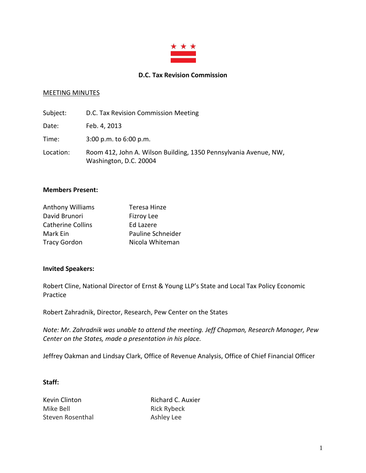

### **D.C. Tax Revision Commission**

#### MEETING MINUTES

| Subject:  | D.C. Tax Revision Commission Meeting                                                       |
|-----------|--------------------------------------------------------------------------------------------|
| Date:     | Feb. 4, 2013                                                                               |
| Time:     | $3:00$ p.m. to $6:00$ p.m.                                                                 |
| Location: | Room 412, John A. Wilson Building, 1350 Pennsylvania Avenue, NW,<br>Washington, D.C. 20004 |

#### **Members Present:**

| <b>Anthony Williams</b>  | Teresa Hinze      |
|--------------------------|-------------------|
| David Brunori            | <b>Fizroy Lee</b> |
| <b>Catherine Collins</b> | <b>Ed Lazere</b>  |
| Mark Ein                 | Pauline Schneider |
| <b>Tracy Gordon</b>      | Nicola Whiteman   |

#### **Invited Speakers:**

Robert Cline, National Director of Ernst & Young LLP's State and Local Tax Policy Economic Practice

Robert Zahradnik, Director, Research, Pew Center on the States

*Note: Mr. Zahradnik was unable to attend the meeting. Jeff Chapman, Research Manager, Pew Center on the States, made a presentation in his place.*

Jeffrey Oakman and Lindsay Clark, Office of Revenue Analysis, Office of Chief Financial Officer

#### **Staff:**

Kevin Clinton **Richard C. Auxier** Mike Bell **Rick Rybeck** Steven Rosenthal Ashley Lee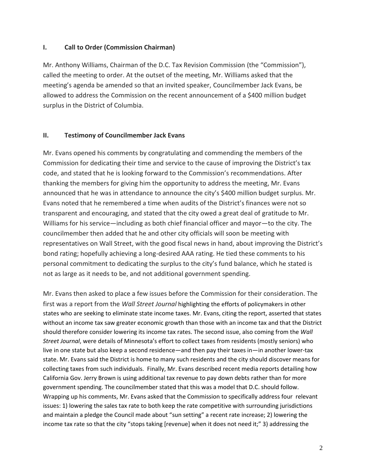## **I. Call to Order (Commission Chairman)**

Mr. Anthony Williams, Chairman of the D.C. Tax Revision Commission (the "Commission"), called the meeting to order. At the outset of the meeting, Mr. Williams asked that the meeting's agenda be amended so that an invited speaker, Councilmember Jack Evans, be allowed to address the Commission on the recent announcement of a \$400 million budget surplus in the District of Columbia.

### **II. Testimony of Councilmember Jack Evans**

Mr. Evans opened his comments by congratulating and commending the members of the Commission for dedicating their time and service to the cause of improving the District's tax code, and stated that he is looking forward to the Commission's recommendations. After thanking the members for giving him the opportunity to address the meeting, Mr. Evans announced that he was in attendance to announce the city's \$400 million budget surplus. Mr. Evans noted that he remembered a time when audits of the District's finances were not so transparent and encouraging, and stated that the city owed a great deal of gratitude to Mr. Williams for his service—including as both chief financial officer and mayor—to the city. The councilmember then added that he and other city officials will soon be meeting with representatives on Wall Street, with the good fiscal news in hand, about improving the District's bond rating; hopefully achieving a long-desired AAA rating. He tied these comments to his personal commitment to dedicating the surplus to the city's fund balance, which he stated is not as large as it needs to be, and not additional government spending.

Mr. Evans then asked to place a few issues before the Commission for their consideration. The first was a report from the *Wall Street Journal* highlighting the efforts of policymakers in other states who are seeking to eliminate state income taxes. Mr. Evans, citing the report, asserted that states without an income tax saw greater economic growth than those with an income tax and that the District should therefore consider lowering its income tax rates. The second issue, also coming from the *Wall Street Journal*, were details of Minnesota's effort to collect taxes from residents (mostly seniors) who live in one state but also keep a second residence—and then pay their taxes in—in another lower-tax state. Mr. Evans said the District is home to many such residents and the city should discover means for collecting taxes from such individuals. Finally, Mr. Evans described recent media reports detailing how California Gov. Jerry Brown is using additional tax revenue to pay down debts rather than for more government spending. The councilmember stated that this was a model that D.C. should follow. Wrapping up his comments, Mr. Evans asked that the Commission to specifically address four relevant issues: 1) lowering the sales tax rate to both keep the rate competitive with surrounding jurisdictions and maintain a pledge the Council made about "sun setting" a recent rate increase; 2) lowering the income tax rate so that the city "stops taking [revenue] when it does not need it;" 3) addressing the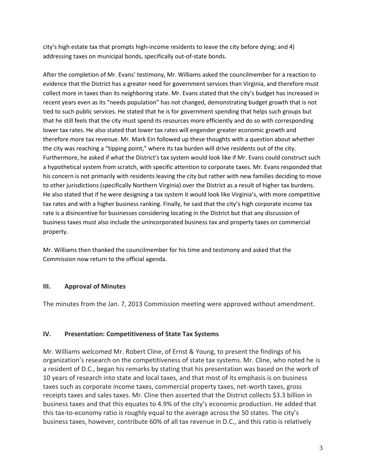city's high estate tax that prompts high-income residents to leave the city before dying; and 4) addressing taxes on municipal bonds, specifically out-of-state bonds.

After the completion of Mr. Evans' testimony, Mr. Williams asked the councilmember for a reaction to evidence that the District has a greater need for government services than Virginia, and therefore must collect more in taxes than its neighboring state. Mr. Evans stated that the city's budget has increased in recent years even as its "needs population" has not changed, demonstrating budget growth that is not tied to such public services. He stated that he is for government spending that helps such groups but that he still feels that the city must spend its resources more efficiently and do so with corresponding lower tax rates. He also stated that lower tax rates will engender greater economic growth and therefore more tax revenue. Mr. Mark Ein followed up these thoughts with a question about whether the city was reaching a "tipping point," where its tax burden will drive residents out of the city. Furthermore, he asked if what the District's tax system would look like if Mr. Evans could construct such a hypothetical system from scratch, with specific attention to corporate taxes. Mr. Evans responded that his concern is not primarily with residents leaving the city but rather with new families deciding to move to other jurisdictions (specifically Northern Virginia) over the District as a result of higher tax burdens. He also stated that if he were designing a tax system it would look like Virginia's, with more competitive tax rates and with a higher business ranking. Finally, he said that the city's high corporate income tax rate is a disincentive for businesses considering locating in the District but that any discussion of business taxes must also include the unincorporated business tax and property taxes on commercial property.

Mr. Williams then thanked the councilmember for his time and testimony and asked that the Commission now return to the official agenda.

# **III. Approval of Minutes**

The minutes from the Jan. 7, 2013 Commission meeting were approved without amendment.

# **IV. Presentation: Competitiveness of State Tax Systems**

Mr. Williams welcomed Mr. Robert Cline, of Ernst & Young, to present the findings of his organization's research on the competitiveness of state tax systems. Mr. Cline, who noted he is a resident of D.C., began his remarks by stating that his presentation was based on the work of 10 years of research into state and local taxes, and that most of its emphasis is on business taxes such as corporate income taxes, commercial property taxes, net-worth taxes, gross receipts taxes and sales taxes. Mr. Cline then asserted that the District collects \$3.3 billion in business taxes and that this equates to 4.9% of the city's economic production. He added that this tax-to-economy ratio is roughly equal to the average across the 50 states. The city's business taxes, however, contribute 60% of all tax revenue in D.C., and this ratio is relatively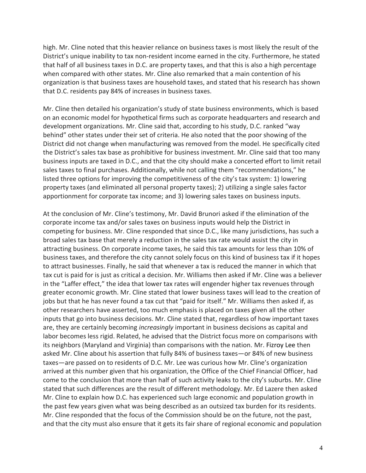high. Mr. Cline noted that this heavier reliance on business taxes is most likely the result of the District's unique inability to tax non-resident income earned in the city. Furthermore, he stated that half of all business taxes in D.C. are property taxes, and that this is also a high percentage when compared with other states. Mr. Cline also remarked that a main contention of his organization is that business taxes are household taxes, and stated that his research has shown that D.C. residents pay 84% of increases in business taxes.

Mr. Cline then detailed his organization's study of state business environments, which is based on an economic model for hypothetical firms such as corporate headquarters and research and development organizations. Mr. Cline said that, according to his study, D.C. ranked "way behind" other states under their set of criteria. He also noted that the poor showing of the District did not change when manufacturing was removed from the model. He specifically cited the District's sales tax base as prohibitive for business investment. Mr. Cline said that too many business inputs are taxed in D.C., and that the city should make a concerted effort to limit retail sales taxes to final purchases. Additionally, while not calling them "recommendations," he listed three options for improving the competitiveness of the city's tax system: 1) lowering property taxes (and eliminated all personal property taxes); 2) utilizing a single sales factor apportionment for corporate tax income; and 3) lowering sales taxes on business inputs.

At the conclusion of Mr. Cline's testimony, Mr. David Brunori asked if the elimination of the corporate income tax and/or sales taxes on business inputs would help the District in competing for business. Mr. Cline responded that since D.C., like many jurisdictions, has such a broad sales tax base that merely a reduction in the sales tax rate would assist the city in attracting business. On corporate income taxes, he said this tax amounts for less than 10% of business taxes, and therefore the city cannot solely focus on this kind of business tax if it hopes to attract businesses. Finally, he said that whenever a tax is reduced the manner in which that tax cut is paid for is just as critical a decision. Mr. Williams then asked if Mr. Cline was a believer in the "Laffer effect," the idea that lower tax rates will engender higher tax revenues through greater economic growth. Mr. Cline stated that lower business taxes will lead to the creation of jobs but that he has never found a tax cut that "paid for itself." Mr. Williams then asked if, as other researchers have asserted, too much emphasis is placed on taxes given all the other inputs that go into business decisions. Mr. Cline stated that, regardless of how important taxes are, they are certainly becoming *increasingly* important in business decisions as capital and labor becomes less rigid. Related, he advised that the District focus more on comparisons with its neighbors (Maryland and Virginia) than comparisons with the nation. Mr. Fizroy Lee then asked Mr. Cline about his assertion that fully 84% of business taxes—or 84% of new business taxes—are passed on to residents of D.C. Mr. Lee was curious how Mr. Cline's organization arrived at this number given that his organization, the Office of the Chief Financial Officer, had come to the conclusion that more than half of such activity leaks to the city's suburbs. Mr. Cline stated that such differences are the result of different methodology. Mr. Ed Lazere then asked Mr. Cline to explain how D.C. has experienced such large economic and population growth in the past few years given what was being described as an outsized tax burden for its residents. Mr. Cline responded that the focus of the Commission should be on the future, not the past, and that the city must also ensure that it gets its fair share of regional economic and population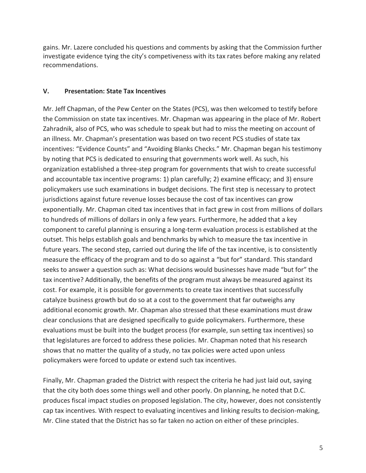gains. Mr. Lazere concluded his questions and comments by asking that the Commission further investigate evidence tying the city's competiveness with its tax rates before making any related recommendations.

### **V. Presentation: State Tax Incentives**

Mr. Jeff Chapman, of the Pew Center on the States (PCS), was then welcomed to testify before the Commission on state tax incentives. Mr. Chapman was appearing in the place of Mr. Robert Zahradnik, also of PCS, who was schedule to speak but had to miss the meeting on account of an illness. Mr. Chapman's presentation was based on two recent PCS studies of state tax incentives: "Evidence Counts" and "Avoiding Blanks Checks." Mr. Chapman began his testimony by noting that PCS is dedicated to ensuring that governments work well. As such, his organization established a three-step program for governments that wish to create successful and accountable tax incentive programs: 1) plan carefully; 2) examine efficacy; and 3) ensure policymakers use such examinations in budget decisions. The first step is necessary to protect jurisdictions against future revenue losses because the cost of tax incentives can grow exponentially. Mr. Chapman cited tax incentives that in fact grew in cost from millions of dollars to hundreds of millions of dollars in only a few years. Furthermore, he added that a key component to careful planning is ensuring a long-term evaluation process is established at the outset. This helps establish goals and benchmarks by which to measure the tax incentive in future years. The second step, carried out during the life of the tax incentive, is to consistently measure the efficacy of the program and to do so against a "but for" standard. This standard seeks to answer a question such as: What decisions would businesses have made "but for" the tax incentive? Additionally, the benefits of the program must always be measured against its cost. For example, it is possible for governments to create tax incentives that successfully catalyze business growth but do so at a cost to the government that far outweighs any additional economic growth. Mr. Chapman also stressed that these examinations must draw clear conclusions that are designed specifically to guide policymakers. Furthermore, these evaluations must be built into the budget process (for example, sun setting tax incentives) so that legislatures are forced to address these policies. Mr. Chapman noted that his research shows that no matter the quality of a study, no tax policies were acted upon unless policymakers were forced to update or extend such tax incentives.

Finally, Mr. Chapman graded the District with respect the criteria he had just laid out, saying that the city both does some things well and other poorly. On planning, he noted that D.C. produces fiscal impact studies on proposed legislation. The city, however, does not consistently cap tax incentives. With respect to evaluating incentives and linking results to decision-making, Mr. Cline stated that the District has so far taken no action on either of these principles.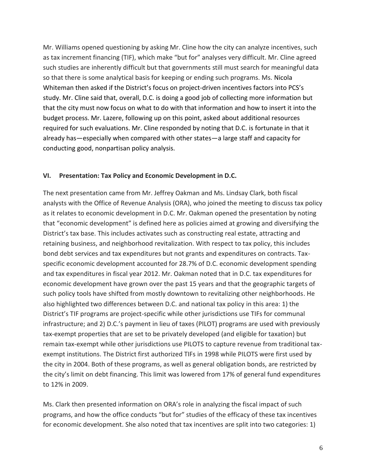Mr. Williams opened questioning by asking Mr. Cline how the city can analyze incentives, such as tax increment financing (TIF), which make "but for" analyses very difficult. Mr. Cline agreed such studies are inherently difficult but that governments still must search for meaningful data so that there is some analytical basis for keeping or ending such programs. Ms. Nicola Whiteman then asked if the District's focus on project-driven incentives factors into PCS's study. Mr. Cline said that, overall, D.C. is doing a good job of collecting more information but that the city must now focus on what to do with that information and how to insert it into the budget process. Mr. Lazere, following up on this point, asked about additional resources required for such evaluations. Mr. Cline responded by noting that D.C. is fortunate in that it already has—especially when compared with other states—a large staff and capacity for conducting good, nonpartisan policy analysis.

### **VI. Presentation: Tax Policy and Economic Development in D.C.**

The next presentation came from Mr. Jeffrey Oakman and Ms. Lindsay Clark, both fiscal analysts with the Office of Revenue Analysis (ORA), who joined the meeting to discuss tax policy as it relates to economic development in D.C. Mr. Oakman opened the presentation by noting that "economic development" is defined here as policies aimed at growing and diversifying the District's tax base. This includes activates such as constructing real estate, attracting and retaining business, and neighborhood revitalization. With respect to tax policy, this includes bond debt services and tax expenditures but not grants and expenditures on contracts. Taxspecific economic development accounted for 28.7% of D.C. economic development spending and tax expenditures in fiscal year 2012. Mr. Oakman noted that in D.C. tax expenditures for economic development have grown over the past 15 years and that the geographic targets of such policy tools have shifted from mostly downtown to revitalizing other neighborhoods. He also highlighted two differences between D.C. and national tax policy in this area: 1) the District's TIF programs are project-specific while other jurisdictions use TIFs for communal infrastructure; and 2) D.C.'s payment in lieu of taxes (PILOT) programs are used with previously tax-exempt properties that are set to be privately developed (and eligible for taxation) but remain tax-exempt while other jurisdictions use PILOTS to capture revenue from traditional taxexempt institutions. The District first authorized TIFs in 1998 while PILOTS were first used by the city in 2004. Both of these programs, as well as general obligation bonds, are restricted by the city's limit on debt financing. This limit was lowered from 17% of general fund expenditures to 12% in 2009.

Ms. Clark then presented information on ORA's role in analyzing the fiscal impact of such programs, and how the office conducts "but for" studies of the efficacy of these tax incentives for economic development. She also noted that tax incentives are split into two categories: 1)